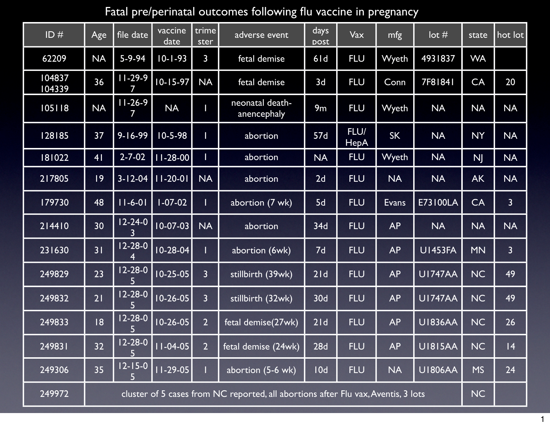## Fatal pre/perinatal outcomes following flu vaccine in pregnancy

| ID#              | Age                                                                               | file date      | vaccine<br>date | trime<br>ster  | adverse event                  | days<br><b>DOSt</b> | Vax                 | mfg          | $\cot \#$       | state     | hot lot        |
|------------------|-----------------------------------------------------------------------------------|----------------|-----------------|----------------|--------------------------------|---------------------|---------------------|--------------|-----------------|-----------|----------------|
| 62209            | <b>NA</b>                                                                         | 5-9-94         | $10 - 1 - 93$   | $\mathsf{3}$   | fetal demise                   | 6ld                 | <b>FLU</b>          | Wyeth        | 4931837         | <b>WA</b> |                |
| 104837<br>104339 | 36                                                                                | $11-29-9$      | $10 - 15 - 97$  | <b>NA</b>      | fetal demise                   | 3d                  | <b>FLU</b>          | Conn         | 7F81841         | <b>CA</b> | 20             |
| 105118           | <b>NA</b>                                                                         | $11 - 26 - 9$  | <b>NA</b>       |                | neonatal death-<br>anencephaly | 9m                  | <b>FLU</b>          | Wyeth        | <b>NA</b>       | <b>NA</b> | <b>NA</b>      |
| 128185           | 37                                                                                | $9 - 16 - 99$  | $10 - 5 - 98$   |                | abortion                       | 57d                 | FLU/<br><b>HepA</b> | <b>SK</b>    | <b>NA</b>       | <b>NY</b> | <b>NA</b>      |
| 181022           | 4 <sub>1</sub>                                                                    | $2 - 7 - 02$   | $11 - 28 - 00$  |                | abortion                       | <b>NA</b>           | <b>FLU</b>          | Wyeth        | <b>NA</b>       | <b>NJ</b> | <b>NA</b>      |
| 217805           | 9                                                                                 | $3 - 12 - 04$  | $11-20-01$      | <b>NA</b>      | abortion                       | 2d                  | <b>FLU</b>          | <b>NA</b>    | <b>NA</b>       | <b>AK</b> | <b>NA</b>      |
| 179730           | 48                                                                                | $ 11 - 6 - 0 $ | $1 - 07 - 02$   |                | abortion (7 wk)                | 5d                  | <b>FLU</b>          | <b>Evans</b> | <b>E73100LA</b> | CA        | $\overline{3}$ |
| 214410           | 30                                                                                | $12 - 24 - 0$  | $10 - 07 - 03$  | <b>NA</b>      | abortion                       | 34d                 | <b>FLU</b>          | <b>AP</b>    | <b>NA</b>       | <b>NA</b> | <b>NA</b>      |
| 231630           | 31                                                                                | $12 - 28 - 0$  | $10 - 28 - 04$  |                | abortion (6wk)                 | 7d                  | <b>FLU</b>          | <b>AP</b>    | <b>U1453FA</b>  | <b>MN</b> | $\overline{3}$ |
| 249829           | 23                                                                                | $12 - 28 - 0$  | $10 - 25 - 05$  | $\overline{3}$ | stillbirth (39wk)              | 21d                 | <b>FLU</b>          | <b>AP</b>    | <b>UI747AA</b>  | <b>NC</b> | 49             |
| 249832           | 21                                                                                | $12 - 28 - 0$  | $10-26-05$      | $\overline{3}$ | stillbirth (32wk)              | 30d                 | <b>FLU</b>          | <b>AP</b>    | <b>UI747AA</b>  | <b>NC</b> | 49             |
| 249833           | 18                                                                                | $12 - 28 - 0$  | $10 - 26 - 05$  | $\overline{2}$ | fetal demise(27wk)             | 21d                 | <b>FLU</b>          | <b>AP</b>    | <b>UI836AA</b>  | <b>NC</b> | 26             |
| 249831           | 32                                                                                | $12 - 28 - 0$  | $11 - 04 - 05$  | $\overline{2}$ | fetal demise (24wk)            | 28d                 | <b>FLU</b>          | <b>AP</b>    | <b>U1815AA</b>  | <b>NC</b> | 4              |
| 249306           | 35                                                                                | $12 - 15 - 0$  | $11-29-05$      |                | abortion (5-6 wk)              | 10d                 | <b>FLU</b>          | <b>NA</b>    | <b>U1806AA</b>  | <b>MS</b> | 24             |
| 249972           | cluster of 5 cases from NC reported, all abortions after Flu vax, Aventis, 3 lots |                |                 |                |                                |                     |                     |              | <b>NC</b>       |           |                |